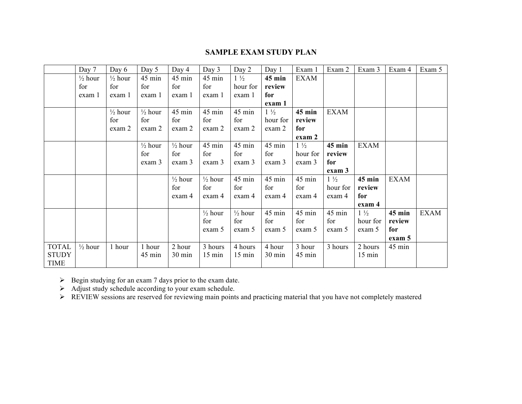## **SAMPLE EXAM STUDY PLAN**

|              | Day 7              | Day 6              | Day 5              | Day 4              | Day 3              | Day 2              | Day 1          | Exam 1         | Exam 2         | Exam 3           | Exam 4      | Exam 5      |
|--------------|--------------------|--------------------|--------------------|--------------------|--------------------|--------------------|----------------|----------------|----------------|------------------|-------------|-------------|
|              | $\frac{1}{2}$ hour | $\frac{1}{2}$ hour | 45 min             | 45 min             | 45 min             | $1\frac{1}{2}$     | $45$ min       | <b>EXAM</b>    |                |                  |             |             |
|              | for                | for                | for                | for                | for                | hour for           | review         |                |                |                  |             |             |
|              | exam 1             | exam 1             | exam 1             | exam 1             | exam 1             | exam 1             | for            |                |                |                  |             |             |
|              |                    |                    |                    |                    |                    |                    | exam 1         |                |                |                  |             |             |
|              |                    | $\frac{1}{2}$ hour | $\frac{1}{2}$ hour | 45 min             | 45 min             | 45 min             | $1\frac{1}{2}$ | $45$ min       | <b>EXAM</b>    |                  |             |             |
|              |                    | for                | for                | for                | for                | for                | hour for       | review         |                |                  |             |             |
|              |                    | exam 2             | exam 2             | exam 2             | exam 2             | exam 2             | exam 2         | for            |                |                  |             |             |
|              |                    |                    |                    |                    |                    |                    |                | exam 2         |                |                  |             |             |
|              |                    |                    | $\frac{1}{2}$ hour | $\frac{1}{2}$ hour | 45 min             | 45 min             | 45 min         | $1\frac{1}{2}$ | $45$ min       | <b>EXAM</b>      |             |             |
|              |                    |                    | for                | for                | for                | for                | for            | hour for       | review         |                  |             |             |
|              |                    |                    | exam 3             | exam 3             | exam 3             | exam 3             | exam 3         | exam 3         | for            |                  |             |             |
|              |                    |                    |                    |                    |                    |                    |                |                | exam 3         |                  |             |             |
|              |                    |                    |                    | $\frac{1}{2}$ hour | $\frac{1}{2}$ hour | 45 min             | 45 min         | 45 min         | $1\frac{1}{2}$ | 45 min           | <b>EXAM</b> |             |
|              |                    |                    |                    | for                | for                | for                | for            | for            | hour for       | review           |             |             |
|              |                    |                    |                    | exam 4             | exam 4             | exam 4             | exam 4         | exam 4         | exam 4         | for              |             |             |
|              |                    |                    |                    |                    |                    |                    |                |                |                | exam 4           |             |             |
|              |                    |                    |                    |                    | $\frac{1}{2}$ hour | $\frac{1}{2}$ hour | 45 min         | 45 min         | 45 min         | $1\frac{1}{2}$   | $45$ min    | <b>EXAM</b> |
|              |                    |                    |                    |                    | for                | for                | for            | for            | for            | hour for         | review      |             |
|              |                    |                    |                    |                    | exam 5             | exam 5             | exam 5         | exam 5         | exam 5         | exam 5           | for         |             |
|              |                    |                    |                    |                    |                    |                    |                |                |                |                  | exam 5      |             |
| <b>TOTAL</b> | $\frac{1}{2}$ hour | 1 hour             | 1 hour             | 2 hour             | 3 hours            | 4 hours            | 4 hour         | 3 hour         | 3 hours        | 2 hours          | 45 min      |             |
| <b>STUDY</b> |                    |                    | 45 min             | 30 min             | $15 \text{ min}$   | $15 \text{ min}$   | 30 min         | 45 min         |                | $15 \text{ min}$ |             |             |
| <b>TIME</b>  |                    |                    |                    |                    |                    |                    |                |                |                |                  |             |             |

 $\triangleright$  Begin studying for an exam 7 days prior to the exam date.

 $\triangleright$  Adjust study schedule according to your exam schedule.

REVIEW sessions are reserved for reviewing main points and practicing material that you have not completely mastered